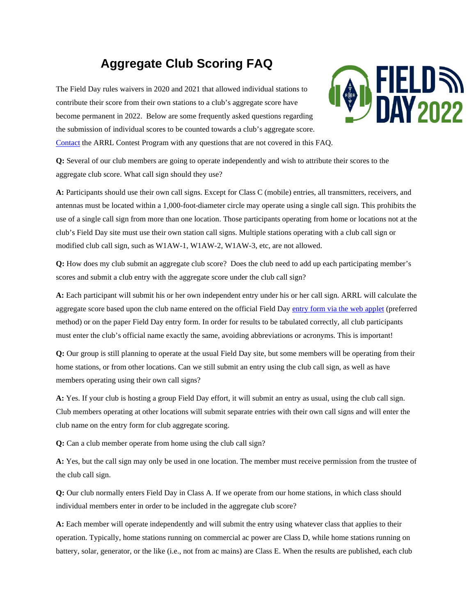## **Aggregate Club Scoring FAQ**

The Field Day rules waivers in 2020 and 2021 that allowed individual stations to contribute their score from their own stations to a club's aggregate score have become permanent in 2022. Below are some frequently asked questions regarding the submission of individual scores to be counted towards a club's aggregate score. [Contact](mailto:fdinfo@arrl.org) the ARRL Contest Program with any questions that are not covered in this FAQ.



**Q:** Several of our club members are going to operate independently and wish to attribute their scores to the aggregate club score. What call sign should they use?

**A:** Participants should use their own call signs. Except for Class C (mobile) entries, all transmitters, receivers, and antennas must be located within a 1,000-foot-diameter circle may operate using a single call sign. This prohibits the use of a single call sign from more than one location. Those participants operating from home or locations not at the club's Field Day site must use their own station call signs. Multiple stations operating with a club call sign or modified club call sign, such as W1AW-1, W1AW-2, W1AW-3, etc, are not allowed.

**Q:** How does my club submit an aggregate club score? Does the club need to add up each participating member's scores and submit a club entry with the aggregate score under the club call sign?

**A:** Each participant will submit his or her own independent entry under his or her call sign. ARRL will calculate the aggregate score based upon the club name entered on the official Field Day [entry form via the web applet](http://field-day.arrl.org/fdentry.php) (preferred method) or on the paper Field Day entry form. In order for results to be tabulated correctly, all club participants must enter the club's official name exactly the same, avoiding abbreviations or acronyms. This is important!

**Q:** Our group is still planning to operate at the usual Field Day site, but some members will be operating from their home stations, or from other locations. Can we still submit an entry using the club call sign, as well as have members operating using their own call signs?

**A:** Yes. If your club is hosting a group Field Day effort, it will submit an entry as usual, using the club call sign. Club members operating at other locations will submit separate entries with their own call signs and will enter the club name on the entry form for club aggregate scoring.

**Q:** Can a club member operate from home using the club call sign?

**A:** Yes, but the call sign may only be used in one location. The member must receive permission from the trustee of the club call sign.

**Q:** Our club normally enters Field Day in Class A. If we operate from our home stations, in which class should individual members enter in order to be included in the aggregate club score?

**A:** Each member will operate independently and will submit the entry using whatever class that applies to their operation. Typically, home stations running on commercial ac power are Class D, while home stations running on battery, solar, generator, or the like (i.e., not from ac mains) are Class E. When the results are published, each club